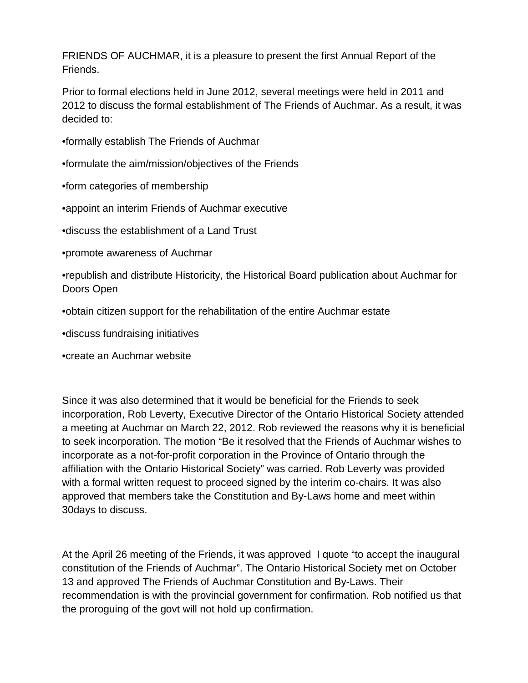FRIENDS OF AUCHMAR, it is a pleasure to present the first Annual Report of the Friends.

Prior to formal elections held in June 2012, several meetings were held in 2011 and 2012 to discuss the formal establishment of The Friends of Auchmar. As a result, it was decided to:

- •formally establish The Friends of Auchmar
- •formulate the aim/mission/objectives of the Friends
- •form categories of membership
- •appoint an interim Friends of Auchmar executive
- •discuss the establishment of a Land Trust
- •promote awareness of Auchmar
- •republish and distribute Historicity, the Historical Board publication about Auchmar for Doors Open
- •obtain citizen support for the rehabilitation of the entire Auchmar estate
- •discuss fundraising initiatives
- •create an Auchmar website

Since it was also determined that it would be beneficial for the Friends to seek incorporation, Rob Leverty, Executive Director of the Ontario Historical Society attended a meeting at Auchmar on March 22, 2012. Rob reviewed the reasons why it is beneficial to seek incorporation. The motion "Be it resolved that the Friends of Auchmar wishes to incorporate as a not-for-profit corporation in the Province of Ontario through the affiliation with the Ontario Historical Society" was carried. Rob Leverty was provided with a formal written request to proceed signed by the interim co-chairs. It was also approved that members take the Constitution and By-Laws home and meet within 30days to discuss.

At the April 26 meeting of the Friends, it was approved I quote "to accept the inaugural constitution of the Friends of Auchmar". The Ontario Historical Society met on October 13 and approved The Friends of Auchmar Constitution and By-Laws. Their recommendation is with the provincial government for confirmation. Rob notified us that the proroguing of the govt will not hold up confirmation.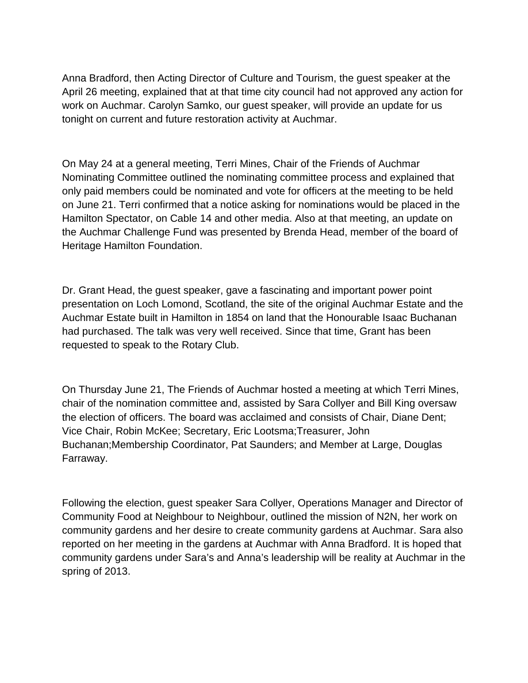Anna Bradford, then Acting Director of Culture and Tourism, the guest speaker at the April 26 meeting, explained that at that time city council had not approved any action for work on Auchmar. Carolyn Samko, our guest speaker, will provide an update for us tonight on current and future restoration activity at Auchmar.

On May 24 at a general meeting, Terri Mines, Chair of the Friends of Auchmar Nominating Committee outlined the nominating committee process and explained that only paid members could be nominated and vote for officers at the meeting to be held on June 21. Terri confirmed that a notice asking for nominations would be placed in the Hamilton Spectator, on Cable 14 and other media. Also at that meeting, an update on the Auchmar Challenge Fund was presented by Brenda Head, member of the board of Heritage Hamilton Foundation.

Dr. Grant Head, the guest speaker, gave a fascinating and important power point presentation on Loch Lomond, Scotland, the site of the original Auchmar Estate and the Auchmar Estate built in Hamilton in 1854 on land that the Honourable Isaac Buchanan had purchased. The talk was very well received. Since that time, Grant has been requested to speak to the Rotary Club.

On Thursday June 21, The Friends of Auchmar hosted a meeting at which Terri Mines, chair of the nomination committee and, assisted by Sara Collyer and Bill King oversaw the election of officers. The board was acclaimed and consists of Chair, Diane Dent; Vice Chair, Robin McKee; Secretary, Eric Lootsma;Treasurer, John Buchanan;Membership Coordinator, Pat Saunders; and Member at Large, Douglas Farraway.

Following the election, guest speaker Sara Collyer, Operations Manager and Director of Community Food at Neighbour to Neighbour, outlined the mission of N2N, her work on community gardens and her desire to create community gardens at Auchmar. Sara also reported on her meeting in the gardens at Auchmar with Anna Bradford. It is hoped that community gardens under Sara's and Anna's leadership will be reality at Auchmar in the spring of 2013.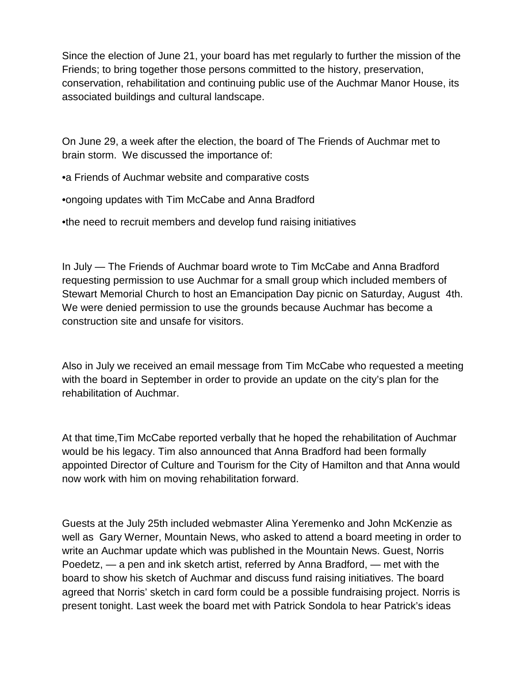Since the election of June 21, your board has met regularly to further the mission of the Friends; to bring together those persons committed to the history, preservation, conservation, rehabilitation and continuing public use of the Auchmar Manor House, its associated buildings and cultural landscape.

On June 29, a week after the election, the board of The Friends of Auchmar met to brain storm. We discussed the importance of:

•a Friends of Auchmar website and comparative costs

•ongoing updates with Tim McCabe and Anna Bradford

•the need to recruit members and develop fund raising initiatives

In July — The Friends of Auchmar board wrote to Tim McCabe and Anna Bradford requesting permission to use Auchmar for a small group which included members of Stewart Memorial Church to host an Emancipation Day picnic on Saturday, August 4th. We were denied permission to use the grounds because Auchmar has become a construction site and unsafe for visitors.

Also in July we received an email message from Tim McCabe who requested a meeting with the board in September in order to provide an update on the city's plan for the rehabilitation of Auchmar.

At that time,Tim McCabe reported verbally that he hoped the rehabilitation of Auchmar would be his legacy. Tim also announced that Anna Bradford had been formally appointed Director of Culture and Tourism for the City of Hamilton and that Anna would now work with him on moving rehabilitation forward.

Guests at the July 25th included webmaster Alina Yeremenko and John McKenzie as well as Gary Werner, Mountain News, who asked to attend a board meeting in order to write an Auchmar update which was published in the Mountain News. Guest, Norris Poedetz, — a pen and ink sketch artist, referred by Anna Bradford, — met with the board to show his sketch of Auchmar and discuss fund raising initiatives. The board agreed that Norris' sketch in card form could be a possible fundraising project. Norris is present tonight. Last week the board met with Patrick Sondola to hear Patrick's ideas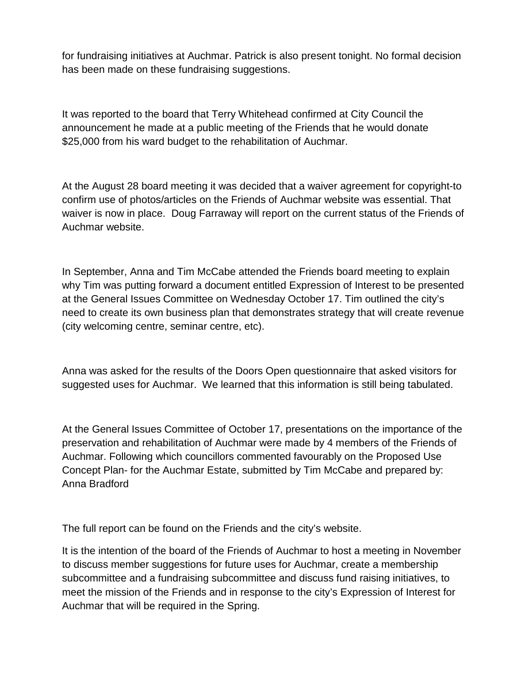for fundraising initiatives at Auchmar. Patrick is also present tonight. No formal decision has been made on these fundraising suggestions.

It was reported to the board that Terry Whitehead confirmed at City Council the announcement he made at a public meeting of the Friends that he would donate \$25,000 from his ward budget to the rehabilitation of Auchmar.

At the August 28 board meeting it was decided that a waiver agreement for copyright-to confirm use of photos/articles on the Friends of Auchmar website was essential. That waiver is now in place. Doug Farraway will report on the current status of the Friends of Auchmar website.

In September, Anna and Tim McCabe attended the Friends board meeting to explain why Tim was putting forward a document entitled Expression of Interest to be presented at the General Issues Committee on Wednesday October 17. Tim outlined the city's need to create its own business plan that demonstrates strategy that will create revenue (city welcoming centre, seminar centre, etc).

Anna was asked for the results of the Doors Open questionnaire that asked visitors for suggested uses for Auchmar. We learned that this information is still being tabulated.

At the General Issues Committee of October 17, presentations on the importance of the preservation and rehabilitation of Auchmar were made by 4 members of the Friends of Auchmar. Following which councillors commented favourably on the Proposed Use Concept Plan- for the Auchmar Estate, submitted by Tim McCabe and prepared by: Anna Bradford

The full report can be found on the Friends and the city's website.

It is the intention of the board of the Friends of Auchmar to host a meeting in November to discuss member suggestions for future uses for Auchmar, create a membership subcommittee and a fundraising subcommittee and discuss fund raising initiatives, to meet the mission of the Friends and in response to the city's Expression of Interest for Auchmar that will be required in the Spring.